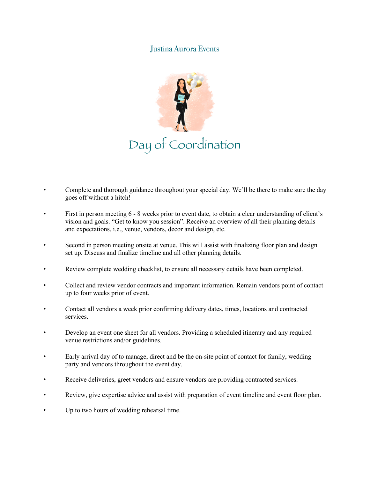## Justina Aurora Events



- Complete and thorough guidance throughout your special day. We'll be there to make sure the day goes off without a hitch!
- First in person meeting 6 8 weeks prior to event date, to obtain a clear understanding of client's vision and goals. "Get to know you session". Receive an overview of all their planning details and expectations, i.e., venue, vendors, decor and design, etc.
- Second in person meeting onsite at venue. This will assist with finalizing floor plan and design set up. Discuss and finalize timeline and all other planning details.
- Review complete wedding checklist, to ensure all necessary details have been completed.
- Collect and review vendor contracts and important information. Remain vendors point of contact up to four weeks prior of event.
- Contact all vendors a week prior confirming delivery dates, times, locations and contracted services.
- Develop an event one sheet for all vendors. Providing a scheduled itinerary and any required venue restrictions and/or guidelines.
- Early arrival day of to manage, direct and be the on-site point of contact for family, wedding party and vendors throughout the event day.
- Receive deliveries, greet vendors and ensure vendors are providing contracted services.
- Review, give expertise advice and assist with preparation of event timeline and event floor plan.
- Up to two hours of wedding rehearsal time.